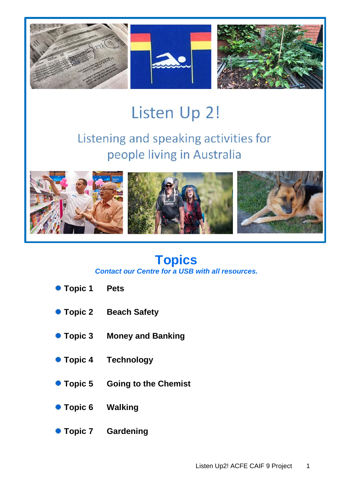

# Listen Up 2!

## Listening and speaking activities for people living in Australia



# **Topics**

*Contact our Centre for a USB with all resources.*

- **Topic 1 Pets**
- **Topic 2 Beach Safety**
- **Topic 3 Money and Banking**
- **Topic 4 Technology**
- **Topic 5 Going to the Chemist**
- **Topic 6 Walking**
- **Topic 7 Gardening**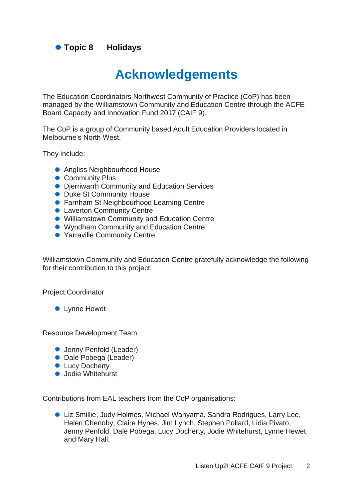**Topic 8 Holidays**

### **Acknowledgements**

The Education Coordinators Northwest Community of Practice (CoP) has been managed by the Williamstown Community and Education Centre through the ACFE Board Capacity and Innovation Fund 2017 (CAIF 9).

The CoP is a group of Community based Adult Education Providers located in Melbourne's North West.

They include:

- Angliss Neighbourhood House
- **Community Plus**
- **Dierriwarrh Community and Education Services**
- Duke St Community House
- **Farnham St Neighbourhood Learning Centre**
- **Laverton Community Centre**
- Williamstown Community and Education Centre
- Wyndham Community and Education Centre
- Yarraville Community Centre

Williamstown Community and Education Centre gratefully acknowledge the following for their contribution to this project:

Project Coordinator

**C** Lynne Hewet

Resource Development Team

- Jenny Penfold (Leader)
- Dale Pobega (Leader)
- **C** Lucy Docherty
- **•** Jodie Whitehurst

Contributions from EAL teachers from the CoP organisations:

● Liz Smillie, Judy Holmes, Michael Wanyama, Sandra Rodrigues, Larry Lee, Helen Chenoby, Claire Hynes, Jim Lynch, Stephen Pollard, Lidia Pivato, Jenny Penfold, Dale Pobega, Lucy Docherty, Jodie Whitehurst, Lynne Hewet and Mary Hall.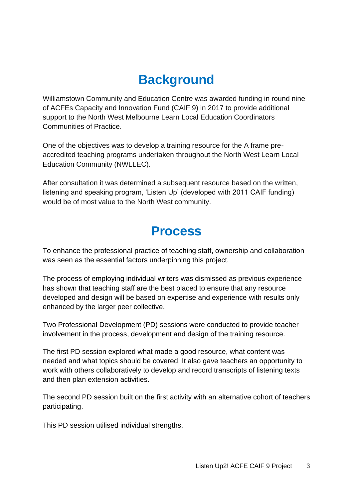### **Background**

Williamstown Community and Education Centre was awarded funding in round nine of ACFEs Capacity and Innovation Fund (CAIF 9) in 2017 to provide additional support to the North West Melbourne Learn Local Education Coordinators Communities of Practice.

One of the objectives was to develop a training resource for the A frame preaccredited teaching programs undertaken throughout the North West Learn Local Education Community (NWLLEC).

After consultation it was determined a subsequent resource based on the written, listening and speaking program, 'Listen Up' (developed with 2011 CAIF funding) would be of most value to the North West community.

### **Process**

To enhance the professional practice of teaching staff, ownership and collaboration was seen as the essential factors underpinning this project.

The process of employing individual writers was dismissed as previous experience has shown that teaching staff are the best placed to ensure that any resource developed and design will be based on expertise and experience with results only enhanced by the larger peer collective.

Two Professional Development (PD) sessions were conducted to provide teacher involvement in the process, development and design of the training resource.

The first PD session explored what made a good resource, what content was needed and what topics should be covered. It also gave teachers an opportunity to work with others collaboratively to develop and record transcripts of listening texts and then plan extension activities.

The second PD session built on the first activity with an alternative cohort of teachers participating.

This PD session utilised individual strengths.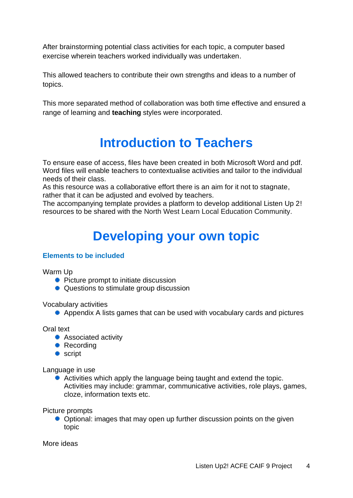After brainstorming potential class activities for each topic, a computer based exercise wherein teachers worked individually was undertaken.

This allowed teachers to contribute their own strengths and ideas to a number of topics.

This more separated method of collaboration was both time effective and ensured a range of learning and **teaching** styles were incorporated.

### **Introduction to Teachers**

To ensure ease of access, files have been created in both Microsoft Word and pdf. Word files will enable teachers to contextualise activities and tailor to the individual needs of their class.

As this resource was a collaborative effort there is an aim for it not to stagnate, rather that it can be adjusted and evolved by teachers.

The accompanying template provides a platform to develop additional Listen Up 2! resources to be shared with the North West Learn Local Education Community.

## **Developing your own topic**

#### **Elements to be included**

Warm Up

- Picture prompt to initiate discussion
- Questions to stimulate group discussion

Vocabulary activities

• Appendix A lists games that can be used with vocabulary cards and pictures

Oral text

- Associated activity
- Recording
- **script**

Language in use

● Activities which apply the language being taught and extend the topic. Activities may include: grammar, communicative activities, role plays, games, cloze, information texts etc.

Picture prompts

• Optional: images that may open up further discussion points on the given topic

More ideas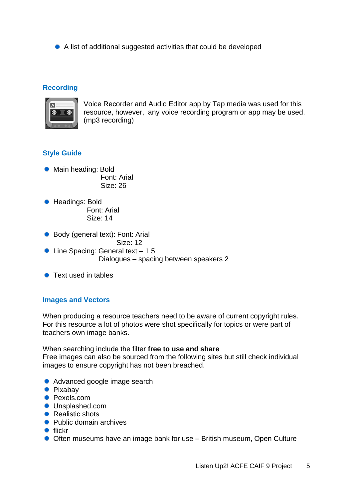A list of additional suggested activities that could be developed

#### **Recording**



Voice Recorder and Audio Editor app by Tap media was used for this resource, however, any voice recording program or app may be used. (mp3 recording)

#### **Style Guide**

- Main heading: Bold Font: Arial Size: 26
- Headings: Bold Font: Arial Size: 14
- Body (general text): Font: Arial

Size: 12

- Line Spacing: General text 1.5 Dialogues – spacing between speakers 2
- Text used in tables

#### **Images and Vectors**

When producing a resource teachers need to be aware of current copyright rules. For this resource a lot of photos were shot specifically for topics or were part of teachers own image banks.

When searching include the filter **free to use and share** Free images can also be sourced from the following sites but still check individual images to ensure copyright has not been breached.

- Advanced google image search
- **•** Pixabay
- Pexels.com
- **Unsplashed.com**
- Realistic shots
- Public domain archives
- $\bullet$  flickr
- Often museums have an image bank for use British museum, Open Culture